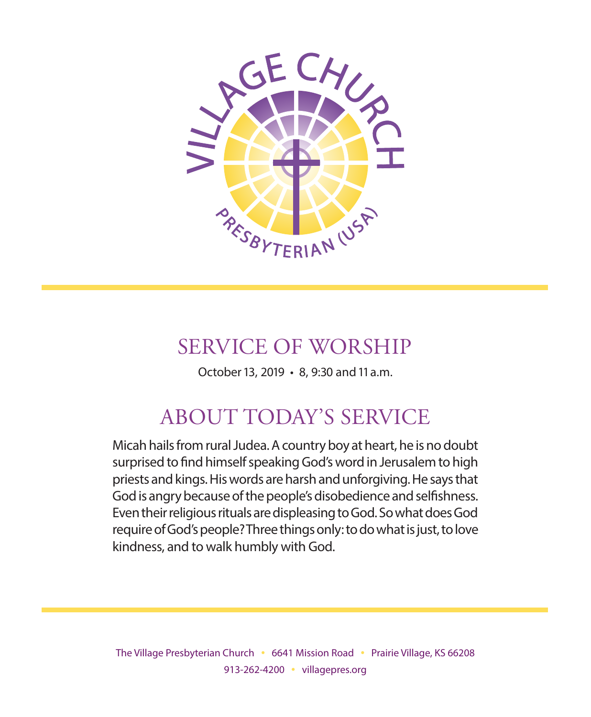

# SERVICE OF WORSHIP

October 13, 2019 • 8, 9:30 and 11 a.m.

# ABOUT TODAY'S SERVICE

Micah hails from rural Judea. A country boy at heart, he is no doubt surprised to find himself speaking God's word in Jerusalem to high priests and kings. His words are harsh and unforgiving. He says that God is angry because of the people's disobedience and selfishness. Even their religious rituals are displeasing to God. So what does God require of God's people? Three things only: to do what is just, to love kindness, and to walk humbly with God.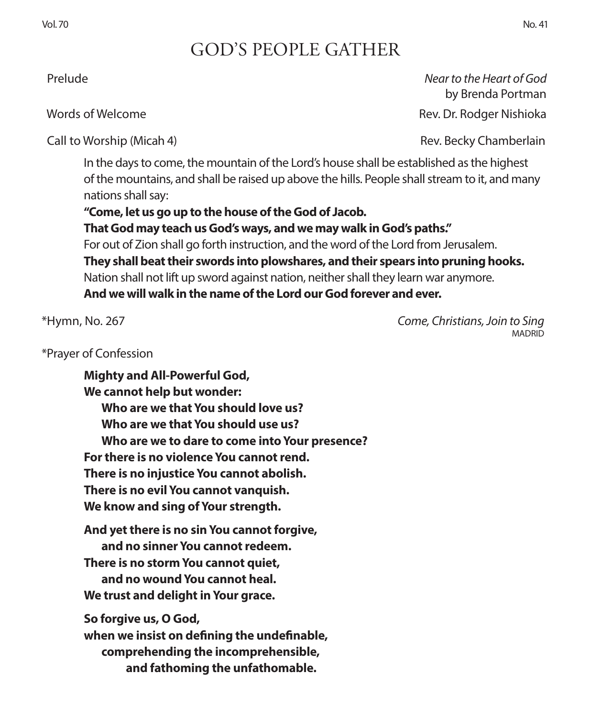## GOD'S PEOPLE GATHER

Call to Worship (Micah 4) **Rev. Becky Chamberlain** Rev. Becky Chamberlain

In the days to come, the mountain of the Lord's house shall be established as the highest of the mountains, and shall be raised up above the hills. People shall stream to it, and many nations shall say:

**"Come, let us go up to the house of the God of Jacob. That God may teach us God's ways, and we may walk in God's paths."**  For out of Zion shall go forth instruction, and the word of the Lord from Jerusalem. **They shall beat their swords into plowshares, and their spears into pruning hooks.**  Nation shall not lift up sword against nation, neither shall they learn war anymore. **And we will walk in the name of the Lord our God forever and ever.**

\*Prayer of Confession

**Mighty and All-Powerful God, We cannot help but wonder: Who are we that You should love us? Who are we that You should use us? Who are we to dare to come into Your presence? For there is no violence You cannot rend. There is no injustice You cannot abolish. There is no evil You cannot vanquish. We know and sing of Your strength.**

**And yet there is no sin You cannot forgive, and no sinner You cannot redeem. There is no storm You cannot quiet, and no wound You cannot heal. We trust and delight in Your grace.**

**So forgive us, O God, when we insist on defining the undefinable, comprehending the incomprehensible, and fathoming the unfathomable.**

 Prelude *Near to the Heart of God* by Brenda Portman Words of Welcome **Rev. Dr. Rodger Nishioka** Rev. Dr. Rodger Nishioka

\*Hymn, No. 267 *Come, Christians, Join to Sing* MADRID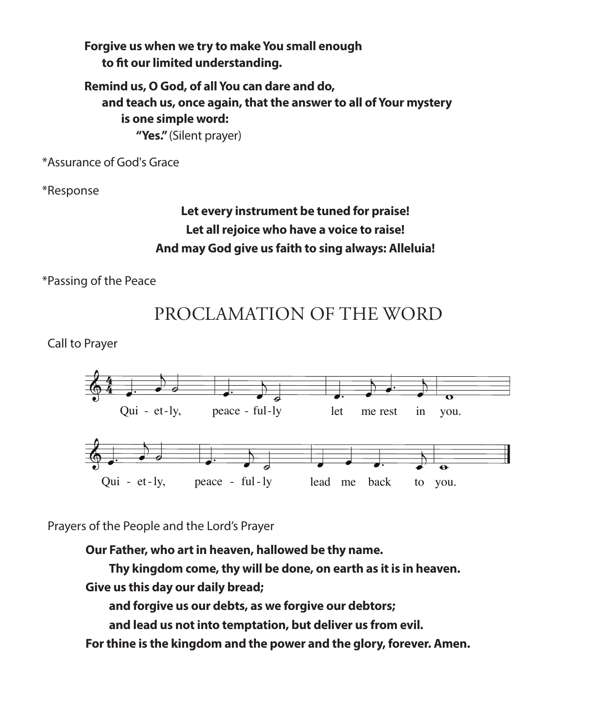**Forgive us when we try to make You small enough to fit our limited understanding.**

**Remind us, O God, of all You can dare and do, and teach us, once again, that the answer to all of Your mystery is one simple word: "Yes."** (Silent prayer)

\*Assurance of God's Grace

\*Response

## **Let every instrument be tuned for praise! Let all rejoice who have a voice to raise! And may God give us faith to sing always: Alleluia!**

\*Passing of the Peace



Call to Prayer



Prayers of the People and the Lord's Prayer<br>Our Eather who art in beaven halls

weak - **Our Father, who art in heaven, hallowed be thy name.**

1 hy kin 1. In my 1. In my 1. In my 1. In my 1. In my 1. In my 1. In my 1. In my 1. In my 1. In my 1. In my 1. In my 1.<br>The company of the company of the company of the company of the company of the company of the company of the c your  $\overline{\phantom{a}}$  thy will be done, on  $\overline{\phantom{a}}$ n ea in strayed, Thy kingdom come, thy will be done, on earth as it is in heaven<mark>.</mark>

3. Save me ann alaibh le **Give us this day our daily bread;** 

and for  $\cdot$ re us our de ve forgive our and forgive us our debts, as we forgive our debtors;

 $\overline{a}$ and its is not into temptation but delive part into temperatury wat active, as from comtake and lead us not into temptation, but deliver us from evil.

**For thine is the kingdom and the power and the glory, forever. Amen.**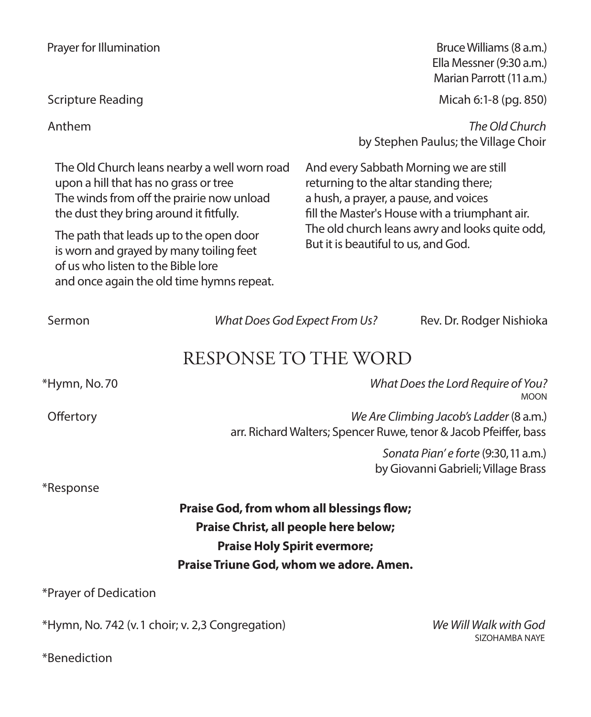The Old Church leans nearby a well worn road upon a hill that has no grass or tree The winds from off the prairie now unload the dust they bring around it fitfully.

The path that leads up to the open door is worn and grayed by many toiling feet of us who listen to the Bible lore and once again the old time hymns repeat.

Prayer for Illumination **Bruce Williams (8 a.m.**) Ella Messner (9:30 a.m.) Marian Parrott (11 a.m.)

Scripture Reading Micah 6:1-8 (pg. 850)

 Anthem *The Old Church*  by Stephen Paulus; the Village Choir

> And every Sabbath Morning we are still returning to the altar standing there; a hush, a prayer, a pause, and voices fill the Master's House with a triumphant air. The old church leans awry and looks quite odd, But it is beautiful to us, and God.

| Sermon                                          | What Does God Expect From Us?                                                                               | Rev. Dr. Rodger Nishioka                                                    |
|-------------------------------------------------|-------------------------------------------------------------------------------------------------------------|-----------------------------------------------------------------------------|
|                                                 | RESPONSE TO THE WORD                                                                                        |                                                                             |
| *Hymn, No.70                                    | What Does the Lord Require of You?<br><b>MOON</b>                                                           |                                                                             |
| Offertory                                       | We Are Climbing Jacob's Ladder (8 a.m.)<br>arr. Richard Walters; Spencer Ruwe, tenor & Jacob Pfeiffer, bass |                                                                             |
|                                                 |                                                                                                             | Sonata Pian' e forte (9:30, 11 a.m.)<br>by Giovanni Gabrieli; Village Brass |
| *Response                                       |                                                                                                             |                                                                             |
|                                                 | <b>Praise God, from whom all blessings flow;</b>                                                            |                                                                             |
| Praise Christ, all people here below;           |                                                                                                             |                                                                             |
| <b>Praise Holy Spirit evermore;</b>             |                                                                                                             |                                                                             |
|                                                 | Praise Triune God, whom we adore. Amen.                                                                     |                                                                             |
| *Prayer of Dedication                           |                                                                                                             |                                                                             |
| *Hymn, No. 742 (v.1 choir; v. 2,3 Congregation) |                                                                                                             | We Will Walk with God                                                       |

SIZOHAMBA NAYE

\*Benediction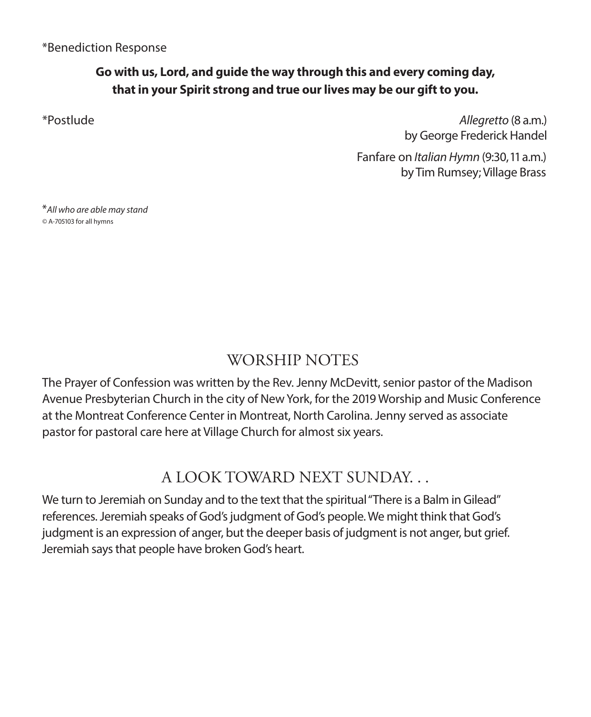### **Go with us, Lord, and guide the way through this and every coming day, that in your Spirit strong and true our lives may be our gift to you.**

\*Postlude *Allegretto* (8 a.m.) by George Frederick Handel

> Fanfare on *Italian Hymn* (9:30, 11 a.m.) by Tim Rumsey; Village Brass

\**All who are able may stand ©* A-705103 for all hymns

## WORSHIP NOTES

The Prayer of Confession was written by the Rev. Jenny McDevitt, senior pastor of the Madison Avenue Presbyterian Church in the city of New York, for the 2019 Worship and Music Conference at the Montreat Conference Center in Montreat, North Carolina. Jenny served as associate pastor for pastoral care here at Village Church for almost six years.

## A LOOK TOWARD NEXT SUNDAY. . .

We turn to Jeremiah on Sunday and to the text that the spiritual "There is a Balm in Gilead" references. Jeremiah speaks of God's judgment of God's people. We might think that God's judgment is an expression of anger, but the deeper basis of judgment is not anger, but grief. Jeremiah says that people have broken God's heart.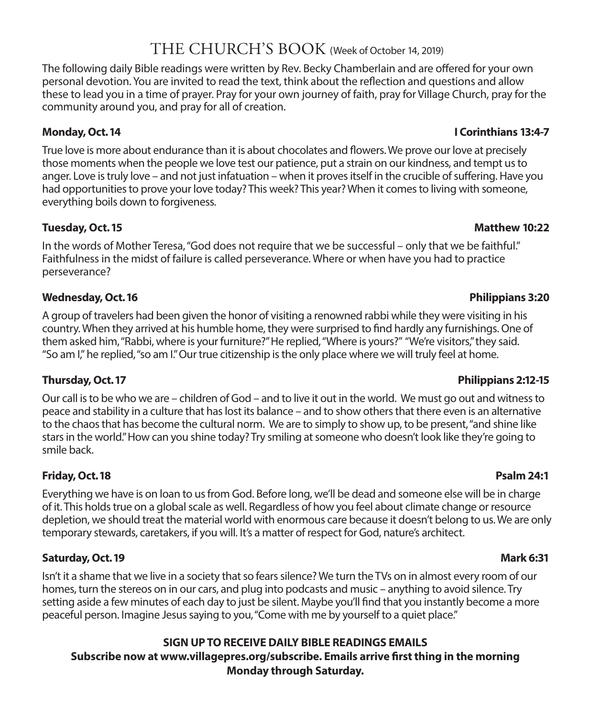## THE CHURCH'S BOOK (Week of October 14, 2019)

The following daily Bible readings were written by Rev. Becky Chamberlain and are offered for your own personal devotion. You are invited to read the text, think about the reflection and questions and allow these to lead you in a time of prayer. Pray for your own journey of faith, pray for Village Church, pray for the community around you, and pray for all of creation.

True love is more about endurance than it is about chocolates and flowers. We prove our love at precisely those moments when the people we love test our patience, put a strain on our kindness, and tempt us to anger. Love is truly love – and not just infatuation – when it proves itself in the crucible of suffering. Have you had opportunities to prove your love today? This week? This year? When it comes to living with someone, everything boils down to forgiveness.

#### **Tuesday, Oct. 15** Matthew 10:22

In the words of Mother Teresa, "God does not require that we be successful – only that we be faithful." Faithfulness in the midst of failure is called perseverance. Where or when have you had to practice perseverance?

#### **Wednesday, Oct. 16 Philippians 3:20**

A group of travelers had been given the honor of visiting a renowned rabbi while they were visiting in his country. When they arrived at his humble home, they were surprised to find hardly any furnishings. One of them asked him, "Rabbi, where is your furniture?" He replied, "Where is yours?" "We're visitors," they said. "So am I," he replied, "so am I." Our true citizenship is the only place where we will truly feel at home.

Our call is to be who we are – children of God – and to live it out in the world. We must go out and witness to peace and stability in a culture that has lost its balance – and to show others that there even is an alternative to the chaos that has become the cultural norm. We are to simply to show up, to be present, "and shine like stars in the world." How can you shine today? Try smiling at someone who doesn't look like they're going to smile back.

#### **Friday, Oct. 18 Psalm 24:1**

Everything we have is on loan to us from God. Before long, we'll be dead and someone else will be in charge of it. This holds true on a global scale as well. Regardless of how you feel about climate change or resource depletion, we should treat the material world with enormous care because it doesn't belong to us. We are only temporary stewards, caretakers, if you will. It's a matter of respect for God, nature's architect.

#### **Saturday, Oct. 19 Mark 6:31**

Isn't it a shame that we live in a society that so fears silence? We turn the TVs on in almost every room of our homes, turn the stereos on in our cars, and plug into podcasts and music – anything to avoid silence. Try setting aside a few minutes of each day to just be silent. Maybe you'll find that you instantly become a more peaceful person. Imagine Jesus saying to you, "Come with me by yourself to a quiet place."

#### **SIGN UP TO RECEIVE DAILY BIBLE READINGS EMAILS Subscribe now at www.villagepres.org/subscribe. Emails arrive first thing in the morning Monday through Saturday.**

#### **Monday, Oct. 14 I Corinthians 13:4-7**

#### **Thursday, Oct. 17 Philippians 2:12-15**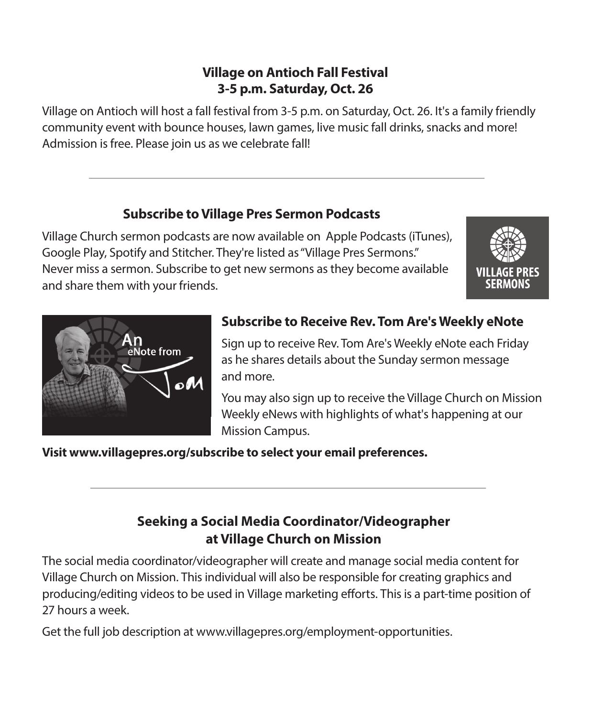### **Village on Antioch Fall Festival 3-5 p.m. Saturday, Oct. 26**

Village on Antioch will host a fall festival from 3-5 p.m. on Saturday, Oct. 26. It's a family friendly community event with bounce houses, lawn games, live music fall drinks, snacks and more! Admission is free. Please join us as we celebrate fall!

### **Subscribe to Village Pres Sermon Podcasts**

Village Church sermon podcasts are now available on Apple Podcasts (iTunes), Google Play, Spotify and Stitcher. They're listed as "Village Pres Sermons." Never miss a sermon. Subscribe to get new sermons as they become available and share them with your friends.





## **Subscribe to Receive Rev. Tom Are's Weekly eNote**

Sign up to receive Rev. Tom Are's Weekly eNote each Friday as he shares details about the Sunday sermon message and more.

You may also sign up to receive the Village Church on Mission Weekly eNews with highlights of what's happening at our Mission Campus.

**Visit www.villagepres.org/subscribe to select your email preferences.**

## **Seeking a Social Media Coordinator/Videographer at Village Church on Mission**

The social media coordinator/videographer will create and manage social media content for Village Church on Mission. This individual will also be responsible for creating graphics and producing/editing videos to be used in Village marketing efforts. This is a part-time position of 27 hours a week.

Get the full job description at www.villagepres.org/employment-opportunities.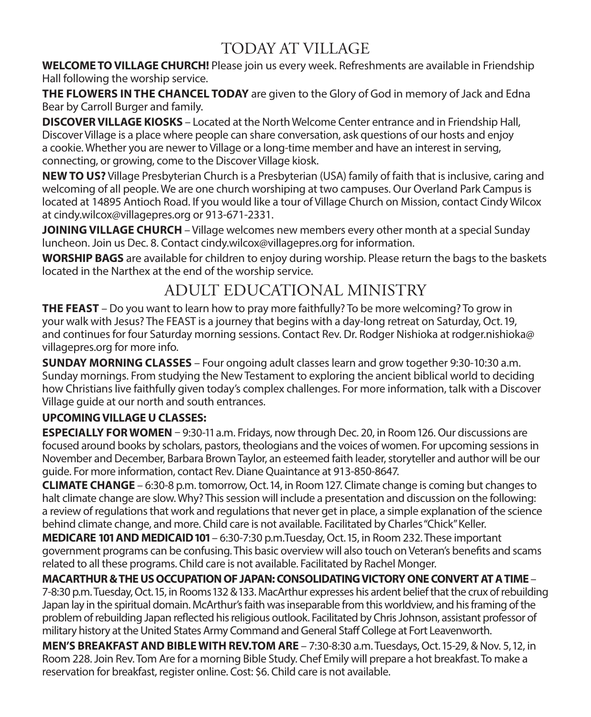## TODAY AT VILLAGE

**WELCOME TO VILLAGE CHURCH!** Please join us every week. Refreshments are available in Friendship Hall following the worship service.

**THE FLOWERS IN THE CHANCEL TODAY** are given to the Glory of God in memory of Jack and Edna Bear by Carroll Burger and family.

**DISCOVER VILLAGE KIOSKS** – Located at the North Welcome Center entrance and in Friendship Hall, Discover Village is a place where people can share conversation, ask questions of our hosts and enjoy a cookie. Whether you are newer to Village or a long-time member and have an interest in serving, connecting, or growing, come to the Discover Village kiosk.

**NEW TO US?** Village Presbyterian Church is a Presbyterian (USA) family of faith that is inclusive, caring and welcoming of all people. We are one church worshiping at two campuses. Our Overland Park Campus is located at 14895 Antioch Road. If you would like a tour of Village Church on Mission, contact Cindy Wilcox at cindy.wilcox@villagepres.org or 913-671-2331.

**JOINING VILLAGE CHURCH** – Village welcomes new members every other month at a special Sunday luncheon. Join us Dec. 8. Contact cindy.wilcox@villagepres.org for information.

**WORSHIP BAGS** are available for children to enjoy during worship. Please return the bags to the baskets located in the Narthex at the end of the worship service.

## ADULT EDUCATIONAL MINISTRY

**THE FEAST** – Do you want to learn how to pray more faithfully? To be more welcoming? To grow in your walk with Jesus? The FEAST is a journey that begins with a day-long retreat on Saturday, Oct. 19, and continues for four Saturday morning sessions. Contact Rev. Dr. Rodger Nishioka at rodger.nishioka@ villagepres.org for more info.

**SUNDAY MORNING CLASSES** – Four ongoing adult classes learn and grow together 9:30-10:30 a.m. Sunday mornings. From studying the New Testament to exploring the ancient biblical world to deciding how Christians live faithfully given today's complex challenges. For more information, talk with a Discover Village guide at our north and south entrances.

#### **UPCOMING VILLAGE U CLASSES:**

**ESPECIALLY FOR WOMEN** - 9:30-11 a.m. Fridays, now through Dec. 20, in Room 126. Our discussions are focused around books by scholars, pastors, theologians and the voices of women. For upcoming sessions in November and December, Barbara Brown Taylor, an esteemed faith leader, storyteller and author will be our guide. For more information, contact Rev. Diane Quaintance at 913-850-8647.

**CLIMATE CHANGE** – 6:30-8 p.m. tomorrow, Oct. 14, in Room 127. Climate change is coming but changes to halt climate change are slow. Why? This session will include a presentation and discussion on the following: a review of regulations that work and regulations that never get in place, a simple explanation of the science behind climate change, and more. Child care is not available. Facilitated by Charles "Chick" Keller.

**MEDICARE 101 AND MEDICAID 101** – 6:30-7:30 p.m.Tuesday, Oct. 15, in Room 232. These important government programs can be confusing. This basic overview will also touch on Veteran's benefits and scams related to all these programs. Child care is not available. Facilitated by Rachel Monger.

**MACARTHUR & THE US OCCUPATION OF JAPAN: CONSOLIDATING VICTORY ONE CONVERT AT A TIME** – 7-8:30 p.m. Tuesday, Oct. 15, in Rooms 132 & 133. MacArthur expresses his ardent belief that the crux of rebuilding Japan lay in the spiritual domain. McArthur's faith was inseparable from this worldview, and his framing of the problem of rebuilding Japan reflected his religious outlook. Facilitated by Chris Johnson, assistant professor of military history at the United States Army Command and General Staff College at Fort Leavenworth.

**MEN'S BREAKFAST AND BIBLE WITH REV.TOM ARE** – 7:30-8:30 a.m. Tuesdays, Oct. 15-29, & Nov. 5, 12, in Room 228. Join Rev. Tom Are for a morning Bible Study. Chef Emily will prepare a hot breakfast. To make a reservation for breakfast, register online. Cost: \$6. Child care is not available.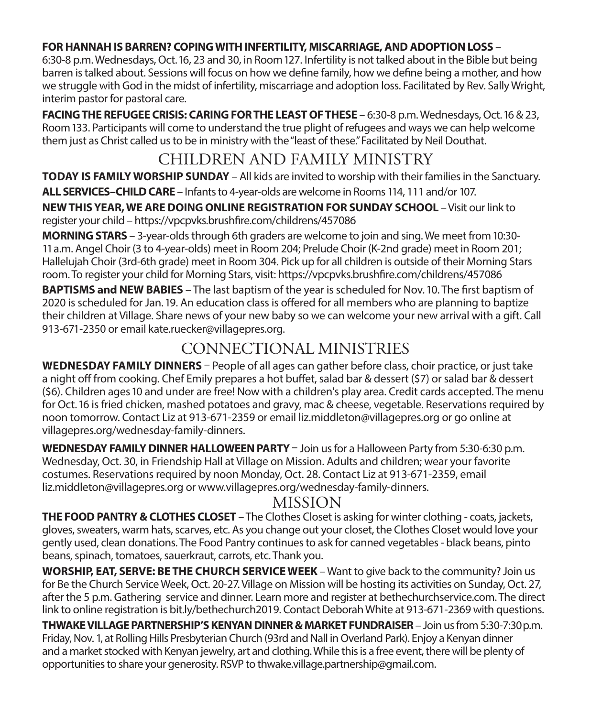#### **FOR HANNAH IS BARREN? COPING WITH INFERTILITY, MISCARRIAGE, AND ADOPTION LOSS** –

6:30-8 p.m. Wednesdays, Oct. 16, 23 and 30, in Room 127. Infertility is not talked about in the Bible but being barren is talked about. Sessions will focus on how we define family, how we define being a mother, and how we struggle with God in the midst of infertility, miscarriage and adoption loss. Facilitated by Rev. Sally Wright, interim pastor for pastoral care.

**FACING THE REFUGEE CRISIS: CARING FOR THE LEAST OF THESE** – 6:30-8 p.m. Wednesdays, Oct. 16 & 23, Room 133. Participants will come to understand the true plight of refugees and ways we can help welcome them just as Christ called us to be in ministry with the "least of these." Facilitated by Neil Douthat.

## CHILDREN AND FAMILY MINISTRY

**TODAY IS FAMILY WORSHIP SUNDAY** – All kids are invited to worship with their families in the Sanctuary. **ALL SERVICES–CHILD CARE** – Infants to 4-year-olds are welcome in Rooms 114, 111 and/or 107. **NEW THIS YEAR, WE ARE DOING ONLINE REGISTRATION FOR SUNDAY SCHOOL** – Visit our link to register your child – https://vpcpvks.brushfire.com/childrens/457086

**MORNING STARS** – 3-year-olds through 6th graders are welcome to join and sing. We meet from 10:30- 11 a.m. Angel Choir (3 to 4-year-olds) meet in Room 204; Prelude Choir (K-2nd grade) meet in Room 201; Hallelujah Choir (3rd-6th grade) meet in Room 304. Pick up for all children is outside of their Morning Stars room. To register your child for Morning Stars, visit: https://vpcpvks.brushfire.com/childrens/457086

**BAPTISMS and NEW BABIES** – The last baptism of the year is scheduled for Nov. 10. The first baptism of 2020 is scheduled for Jan. 19. An education class is offered for all members who are planning to baptize their children at Village. Share news of your new baby so we can welcome your new arrival with a gift. Call 913-671-2350 or email kate.ruecker@villagepres.org.

## CONNECTIONAL MINISTRIES

**WEDNESDAY FAMILY DINNERS** – People of all ages can gather before class, choir practice, or just take a night off from cooking. Chef Emily prepares a hot buffet, salad bar & dessert (\$7) or salad bar & dessert (\$6). Children ages 10 and under are free! Now with a children's play area. Credit cards accepted. The menu for Oct. 16 is fried chicken, mashed potatoes and gravy, mac & cheese, vegetable. Reservations required by noon tomorrow. Contact Liz at 913-671-2359 or email liz.middleton@villagepres.org or go online at villagepres.org/wednesday-family-dinners.

**WEDNESDAY FAMILY DINNER HALLOWEEN PARTY** – Join us for a Halloween Party from 5:30-6:30 p.m. Wednesday, Oct. 30, in Friendship Hall at Village on Mission. Adults and children; wear your favorite costumes. Reservations required by noon Monday, Oct. 28. Contact Liz at 913-671-2359, email liz.middleton@villagepres.org or www.villagepres.org/wednesday-family-dinners.

### MISSION

**THE FOOD PANTRY & CLOTHES CLOSET** – The Clothes Closet is asking for winter clothing - coats, jackets, gloves, sweaters, warm hats, scarves, etc. As you change out your closet, the Clothes Closet would love your gently used, clean donations. The Food Pantry continues to ask for canned vegetables - black beans, pinto beans, spinach, tomatoes, sauerkraut, carrots, etc. Thank you.

**WORSHIP, EAT, SERVE: BE THE CHURCH SERVICE WEEK** – Want to give back to the community? Join us for Be the Church Service Week, Oct. 20-27. Village on Mission will be hosting its activities on Sunday, Oct. 27, after the 5 p.m. Gathering service and dinner. Learn more and register at bethechurchservice.com. The direct link to online registration is bit.ly/bethechurch2019. Contact Deborah White at 913-671-2369 with questions.

**THWAKE VILLAGE PARTNERSHIP'S KENYAN DINNER & MARKET FUNDRAISER**– Join us from 5:30-7:30p.m. Friday, Nov. 1, at Rolling Hills Presbyterian Church (93rd and Nall in Overland Park). Enjoy a Kenyan dinner and a market stocked with Kenyan jewelry, art and clothing. While this is a free event, there will be plenty of opportunities to share your generosity. RSVP to thwake.village.partnership@gmail.com.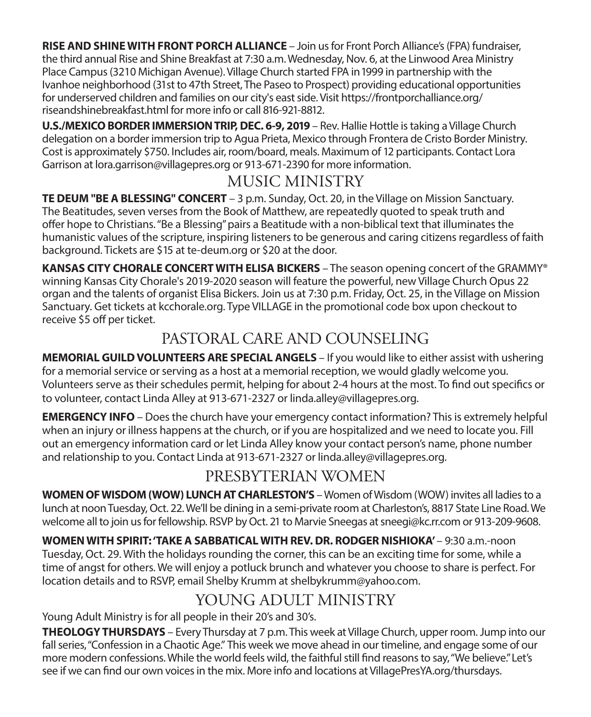**RISE AND SHINE WITH FRONT PORCH ALLIANCE** – Join us for Front Porch Alliance's (FPA) fundraiser, the third annual Rise and Shine Breakfast at 7:30 a.m. Wednesday, Nov. 6, at the Linwood Area Ministry Place Campus (3210 Michigan Avenue). Village Church started FPA in 1999 in partnership with the Ivanhoe neighborhood (31st to 47th Street, The Paseo to Prospect) providing educational opportunities for underserved children and families on our city's east side. Visit https://frontporchalliance.org/ riseandshinebreakfast.html for more info or call 816-921-8812.

**U.S./MEXICO BORDER IMMERSION TRIP, DEC. 6-9, 2019** – Rev. Hallie Hottle is taking a Village Church delegation on a border immersion trip to Agua Prieta, Mexico through Frontera de Cristo Border Ministry. Cost is approximately \$750. Includes air, room/board, meals. Maximum of 12 participants. Contact Lora Garrison at lora.garrison@villagepres.org or 913-671-2390 for more information.

## MUSIC MINISTRY

**TE DEUM "BE A BLESSING" CONCERT** – 3 p.m. Sunday, Oct. 20, in the Village on Mission Sanctuary. The Beatitudes, seven verses from the Book of Matthew, are repeatedly quoted to speak truth and offer hope to Christians. "Be a Blessing" pairs a Beatitude with a non-biblical text that illuminates the humanistic values of the scripture, inspiring listeners to be generous and caring citizens regardless of faith background. Tickets are \$15 at te-deum.org or \$20 at the door.

**KANSAS CITY CHORALE CONCERT WITH ELISA BICKERS** – The season opening concert of the GRAMMY® winning Kansas City Chorale's 2019-2020 season will feature the powerful, new Village Church Opus 22 organ and the talents of organist Elisa Bickers. Join us at 7:30 p.m. Friday, Oct. 25, in the Village on Mission Sanctuary. Get tickets at kcchorale.org. Type VILLAGE in the promotional code box upon checkout to receive \$5 off per ticket.

## PASTORAL CARE AND COUNSELING

**MEMORIAL GUILD VOLUNTEERS ARE SPECIAL ANGELS** – If you would like to either assist with ushering for a memorial service or serving as a host at a memorial reception, we would gladly welcome you. Volunteers serve as their schedules permit, helping for about 2-4 hours at the most. To find out specifics or to volunteer, contact Linda Alley at 913-671-2327 or linda.alley@villagepres.org.

**EMERGENCY INFO** – Does the church have your emergency contact information? This is extremely helpful when an injury or illness happens at the church, or if you are hospitalized and we need to locate you. Fill out an emergency information card or let Linda Alley know your contact person's name, phone number and relationship to you. Contact Linda at 913-671-2327 or linda.alley@villagepres.org.

## PRESBYTERIAN WOMEN

**WOMEN OF WISDOM (WOW) LUNCH AT CHARLESTON'S** – Women of Wisdom (WOW) invites all ladies to a lunch at noon Tuesday, Oct. 22. We'll be dining in a semi-private room at Charleston's, 8817 State Line Road. We welcome all to join us for fellowship. RSVP by Oct. 21 to Marvie Sneegas at sneegi@kc.rr.com or 913-209-9608.

**WOMEN WITH SPIRIT: 'TAKE A SABBATICAL WITH REV. DR. RODGER NISHIOKA'** – 9:30 a.m.-noon Tuesday, Oct. 29. With the holidays rounding the corner, this can be an exciting time for some, while a time of angst for others. We will enjoy a potluck brunch and whatever you choose to share is perfect. For location details and to RSVP, email Shelby Krumm at shelbykrumm@yahoo.com.

## YOUNG ADULT MINISTRY

Young Adult Ministry is for all people in their 20's and 30's.

**THEOLOGY THURSDAYS** – Every Thursday at 7 p.m. This week at Village Church, upper room. Jump into our fall series, "Confession in a Chaotic Age." This week we move ahead in our timeline, and engage some of our more modern confessions. While the world feels wild, the faithful still find reasons to say, "We believe." Let's see if we can find our own voices in the mix. More info and locations at VillagePresYA.org/thursdays.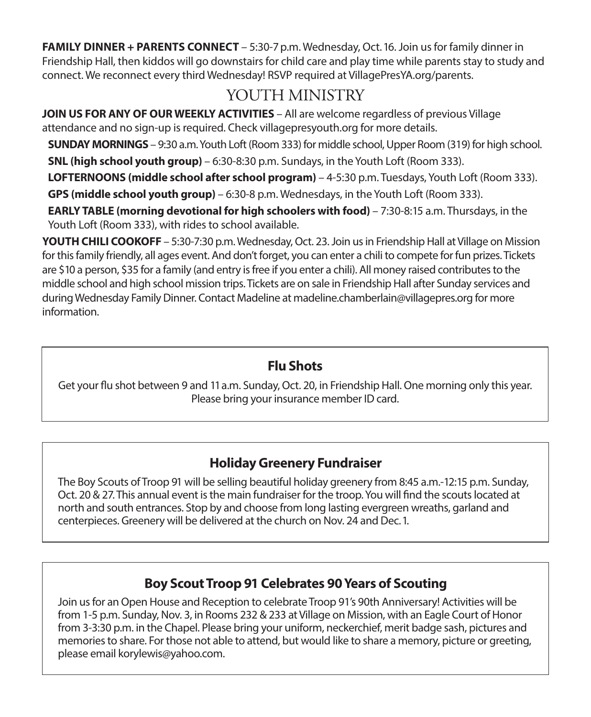**FAMILY DINNER + PARENTS CONNECT** – 5:30-7 p.m. Wednesday, Oct. 16. Join us for family dinner in Friendship Hall, then kiddos will go downstairs for child care and play time while parents stay to study and connect. We reconnect every third Wednesday! RSVP required at VillagePresYA.org/parents.

## YOUTH MINISTRY

**JOIN US FOR ANY OF OUR WEEKLY ACTIVITIES** – All are welcome regardless of previous Village attendance and no sign-up is required. Check villagepresyouth.org for more details.

**SUNDAY MORNINGS** – 9:30 a.m. Youth Loft (Room 333) for middle school, Upper Room (319) for high school.

**SNL (high school youth group)** – 6:30-8:30 p.m. Sundays, in the Youth Loft (Room 333).

**LOFTERNOONS (middle school after school program)** – 4-5:30 p.m. Tuesdays, Youth Loft (Room 333).

**GPS (middle school youth group)** – 6:30-8 p.m. Wednesdays, in the Youth Loft (Room 333).

**EARLY TABLE (morning devotional for high schoolers with food)** – 7:30-8:15 a.m. Thursdays, in the Youth Loft (Room 333), with rides to school available.

**YOUTH CHILI COOKOFF** – 5:30-7:30 p.m. Wednesday, Oct. 23. Join us in Friendship Hall at Village on Mission for this family friendly, all ages event. And don't forget, you can enter a chili to compete for fun prizes. Tickets are \$10 a person, \$35 for a family (and entry is free if you enter a chili). All money raised contributes to the middle school and high school mission trips. Tickets are on sale in Friendship Hall after Sunday services and during Wednesday Family Dinner. Contact Madeline at madeline.chamberlain@villagepres.org for more information.

#### **Flu Shots**

Get your flu shot between 9 and 11 a.m. Sunday, Oct. 20, in Friendship Hall. One morning only this year. Please bring your insurance member ID card.

## **Holiday Greenery Fundraiser**

The Boy Scouts of Troop 91 will be selling beautiful holiday greenery from 8:45 a.m.-12:15 p.m. Sunday, Oct. 20 & 27. This annual event is the main fundraiser for the troop. You will find the scouts located at north and south entrances. Stop by and choose from long lasting evergreen wreaths, garland and centerpieces. Greenery will be delivered at the church on Nov. 24 and Dec. 1.

## **Boy Scout Troop 91 Celebrates 90 Years of Scouting**

Join us for an Open House and Reception to celebrate Troop 91's 90th Anniversary! Activities will be from 1-5 p.m. Sunday, Nov. 3, in Rooms 232 & 233 at Village on Mission, with an Eagle Court of Honor from 3-3:30 p.m. in the Chapel. Please bring your uniform, neckerchief, merit badge sash, pictures and memories to share. For those not able to attend, but would like to share a memory, picture or greeting, please email korylewis@yahoo.com.